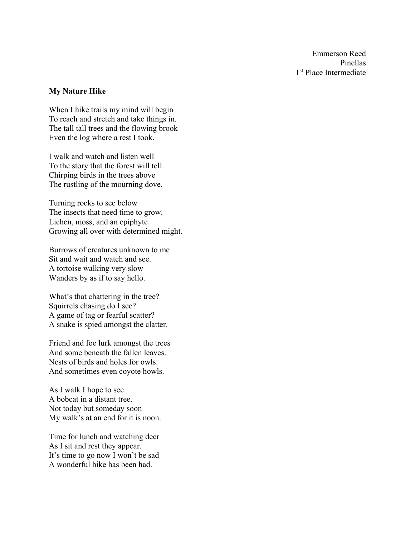Emmerson Reed Pinellas 1<sup>st</sup> Place Intermediate

### **My Nature Hike**

When I hike trails my mind will begin To reach and stretch and take things in. The tall tall trees and the flowing brook Even the log where a rest I took.

I walk and watch and listen well To the story that the forest will tell. Chirping birds in the trees above The rustling of the mourning dove.

Turning rocks to see below The insects that need time to grow. Lichen, moss, and an epiphyte Growing all over with determined might.

Burrows of creatures unknown to me Sit and wait and watch and see. A tortoise walking very slow Wanders by as if to say hello.

What's that chattering in the tree? Squirrels chasing do I see? A game of tag or fearful scatter? A snake is spied amongst the clatter.

Friend and foe lurk amongst the trees And some beneath the fallen leaves. Nests of birds and holes for owls. And sometimes even coyote howls.

As I walk I hope to see A bobcat in a distant tree. Not today but someday soon My walk's at an end for it is noon.

Time for lunch and watching deer As I sit and rest they appear. It's time to go now I won't be sad A wonderful hike has been had.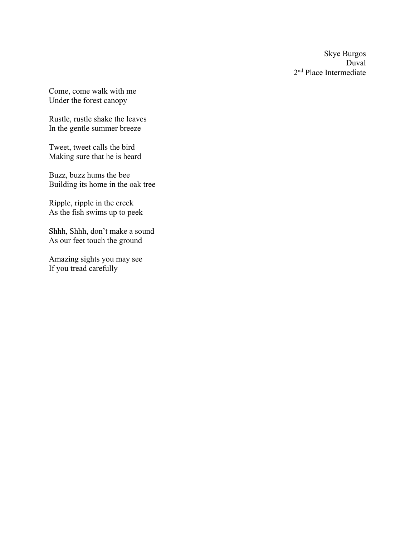Skye Burgos Duval 2nd Place Intermediate

Come, come walk with me Under the forest canopy

Rustle, rustle shake the leaves In the gentle summer breeze

Tweet, tweet calls the bird Making sure that he is heard

Buzz, buzz hums the bee Building its home in the oak tree

Ripple, ripple in the creek As the fish swims up to peek

Shhh, Shhh, don't make a sound As our feet touch the ground

Amazing sights you may see If you tread carefully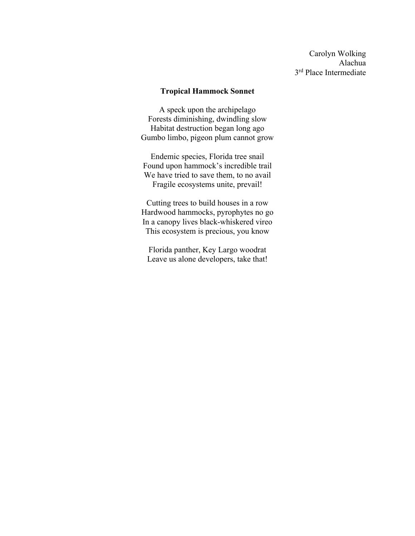Carolyn Wolking Alachua 3<sup>rd</sup> Place Intermediate

#### **Tropical Hammock Sonnet**

A speck upon the archipelago Forests diminishing, dwindling slow Habitat destruction began long ago Gumbo limbo, pigeon plum cannot grow

Endemic species, Florida tree snail Found upon hammock's incredible trail We have tried to save them, to no avail Fragile ecosystems unite, prevail!

Cutting trees to build houses in a row Hardwood hammocks, pyrophytes no go In a canopy lives black-whiskered vireo This ecosystem is precious, you know

Florida panther, Key Largo woodrat Leave us alone developers, take that!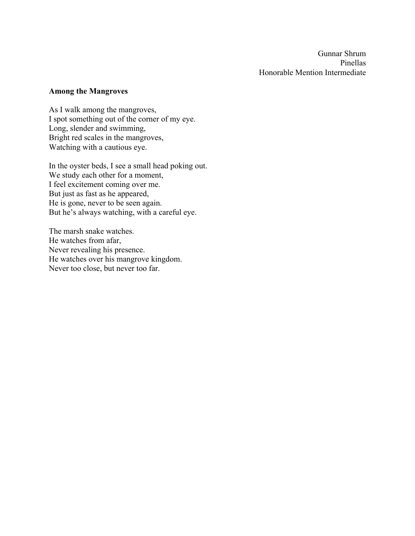Gunnar Shrum Pinellas Honorable Mention Intermediate

#### **Among the Mangroves**

As I walk among the mangroves, I spot something out of the corner of my eye. Long, slender and swimming, Bright red scales in the mangroves, Watching with a cautious eye.

In the oyster beds, I see a small head poking out. We study each other for a moment, I feel excitement coming over me. But just as fast as he appeared, He is gone, never to be seen again. But he's always watching, with a careful eye.

The marsh snake watches. He watches from afar, Never revealing his presence. He watches over his mangrove kingdom. Never too close, but never too far.